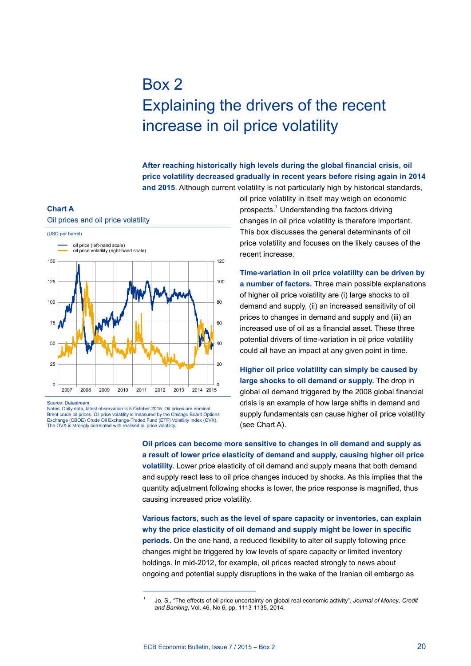## Box 2 Explaining the drivers of the recent increase in oil price volatility

**After reaching historically high levels during the global financial crisis, oil price volatility decreased gradually in recent years before rising again in 2014 and 2015**. Although current volatility is not particularly high by historical standards,

## **Chart a**



Source: Datastream.

Notes: Daily data, latest observation is 5 October 2015. Oil prices are nominal. Brent crude oil prices. Oil price volatility is measured by the Chicago Board Options Exchange (CBOE) Crude Oil Exchange-Traded Fund (ETF) Volatility Index (OVX). The OVX is strongly correlated with realised oil price volatility.

oil price volatility in itself may weigh on economic prospects.<sup>1</sup> Understanding the factors driving changes in oil price volatility is therefore important. This box discusses the general determinants of oil price volatility and focuses on the likely causes of the recent increase.

**Time-variation in oil price volatility can be driven by a number of factors.** Three main possible explanations of higher oil price volatility are (i) large shocks to oil demand and supply, (ii) an increased sensitivity of oil prices to changes in demand and supply and (iii) an increased use of oil as a financial asset. These three potential drivers of time-variation in oil price volatility could all have an impact at any given point in time.

**Higher oil price volatility can simply be caused by large shocks to oil demand or supply.** The drop in global oil demand triggered by the 2008 global financial crisis is an example of how large shifts in demand and supply fundamentals can cause higher oil price volatility (see Chart A).

**Oil prices can become more sensitive to changes in oil demand and supply as a result of lower price elasticity of demand and supply, causing higher oil price volatility.** Lower price elasticity of oil demand and supply means that both demand and supply react less to oil price changes induced by shocks. As this implies that the quantity adjustment following shocks is lower, the price response is magnified, thus causing increased price volatility.

**Various factors, such as the level of spare capacity or inventories, can explain why the price elasticity of oil demand and supply might be lower in specific periods.** On the one hand, a reduced flexibility to alter oil supply following price changes might be triggered by low levels of spare capacity or limited inventory holdings. In mid-2012, for example, oil prices reacted strongly to news about ongoing and potential supply disruptions in the wake of the Iranian oil embargo as

<sup>1</sup> Jo, S., "The effects of oil price uncertainty on global real economic activity", *Journal of Money, Credit and Banking*, Vol. 46, No 6, pp. 1113-1135, 2014.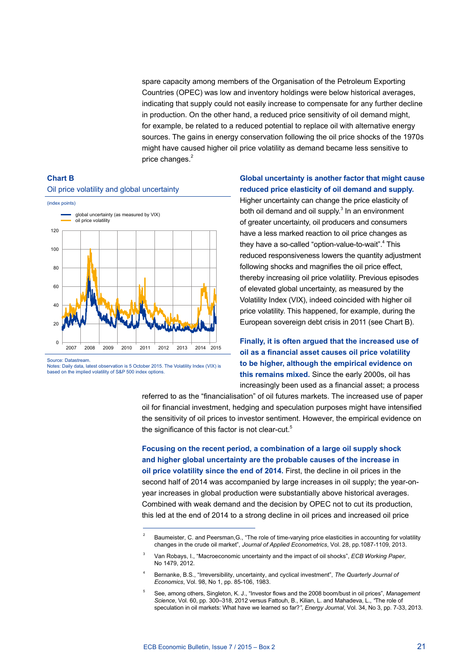spare capacity among members of the Organisation of the Petroleum Exporting Countries (OPEC) was low and inventory holdings were below historical averages, indicating that supply could not easily increase to compensate for any further decline in production. On the other hand, a reduced price sensitivity of oil demand might, for example, be related to a reduced potential to replace oil with alternative energy sources. The gains in energy conservation following the oil price shocks of the 1970s might have caused higher oil price volatility as demand became less sensitive to price changes.<sup>2</sup>





Source: Datastream. Notes: Daily data, latest observation is 5 October 2015. The Volatility Index (VIX) is based on the implied volatility of S&P 500 index options.

## **Global uncertainty is another factor that might cause reduced price elasticity of oil demand and supply.**

Higher uncertainty can change the price elasticity of both oil demand and oil supply. $3$  In an environment of greater uncertainty, oil producers and consumers have a less marked reaction to oil price changes as they have a so-called "option-value-to-wait".<sup>4</sup> This reduced responsiveness lowers the quantity adjustment following shocks and magnifies the oil price effect, thereby increasing oil price volatility. Previous episodes of elevated global uncertainty, as measured by the Volatility Index (VIX), indeed coincided with higher oil price volatility. This happened, for example, during the European sovereign debt crisis in 2011 (see Chart B).

## **Finally, it is often argued that the increased use of oil as a financial asset causes oil price volatility to be higher, although the empirical evidence on this remains mixed.** Since the early 2000s, oil has increasingly been used as a financial asset; a process

referred to as the "financialisation" of oil futures markets. The increased use of paper oil for financial investment, hedging and speculation purposes might have intensified the sensitivity of oil prices to investor sentiment. However, the empirical evidence on the significance of this factor is not clear-cut.<sup>5</sup>

**Focusing on the recent period, a combination of a large oil supply shock and higher global uncertainty are the probable causes of the increase in oil price volatility since the end of 2014.** First, the decline in oil prices in the second half of 2014 was accompanied by large increases in oil supply; the year-onyear increases in global production were substantially above historical averages. Combined with weak demand and the decision by OPEC not to cut its production, this led at the end of 2014 to a strong decline in oil prices and increased oil price

<sup>&</sup>lt;sup>2</sup> Baumeister, C. and Peersman, G., "The role of time-varying price elasticities in accounting for volatility changes in the crude oil market", *Journal of Applied Econometrics*, Vol. 28, pp.1087-1109, 2013.

<sup>3</sup> Van Robays, I., "Macroeconomic uncertainty and the impact of oil shocks", *ECB Working Paper*, No 1479, 2012.

<sup>4</sup> Bernanke, B.S., "Irreversibility, uncertainty, and cyclical investment", *The Quarterly Journal of Economics*, Vol. 98, No 1, pp. 85-106, 1983.

<sup>5</sup> See, among others, Singleton, K. J., "Investor flows and the 2008 boom/bust in oil prices", *Management Science*, Vol. 60, pp. 300–318, 2012 versus Fattouh, B., Kilian, L. and Mahadeva, L., *"*The role of speculation in oil markets: What have we learned so far?*"*, *Energy Journal*, Vol. 34, No 3, pp. 7-33, 2013.